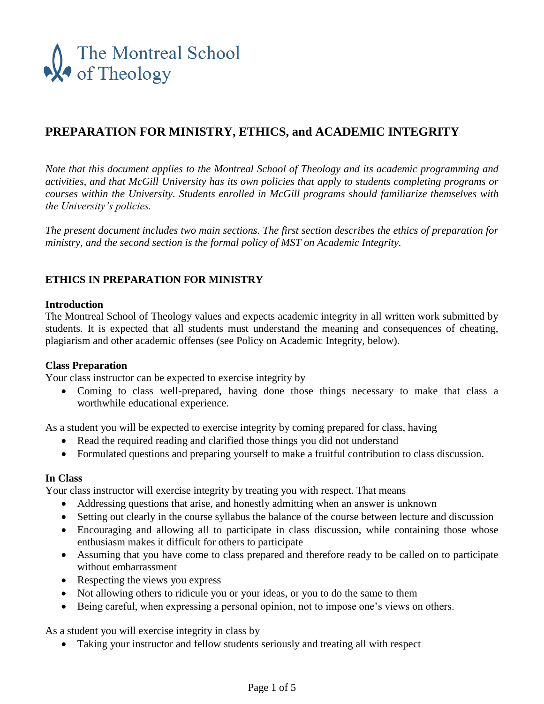

# **PREPARATION FOR MINISTRY, ETHICS, and ACADEMIC INTEGRITY**

*Note that this document applies to the Montreal School of Theology and its academic programming and activities, and that McGill University has its own policies that apply to students completing programs or courses within the University. Students enrolled in McGill programs should familiarize themselves with the University's policies.*

*The present document includes two main sections. The first section describes the ethics of preparation for ministry, and the second section is the formal policy of MST on Academic Integrity.*

# **ETHICS IN PREPARATION FOR MINISTRY**

#### **Introduction**

The Montreal School of Theology values and expects academic integrity in all written work submitted by students. It is expected that all students must understand the meaning and consequences of cheating, plagiarism and other academic offenses (see Policy on Academic Integrity, below).

#### **Class Preparation**

Your class instructor can be expected to exercise integrity by

 Coming to class well-prepared, having done those things necessary to make that class a worthwhile educational experience.

As a student you will be expected to exercise integrity by coming prepared for class, having

- Read the required reading and clarified those things you did not understand
- Formulated questions and preparing yourself to make a fruitful contribution to class discussion.

#### **In Class**

Your class instructor will exercise integrity by treating you with respect. That means

- Addressing questions that arise, and honestly admitting when an answer is unknown
- Setting out clearly in the course syllabus the balance of the course between lecture and discussion
- Encouraging and allowing all to participate in class discussion, while containing those whose enthusiasm makes it difficult for others to participate
- Assuming that you have come to class prepared and therefore ready to be called on to participate without embarrassment
- Respecting the views you express
- Not allowing others to ridicule you or your ideas, or you to do the same to them
- Being careful, when expressing a personal opinion, not to impose one's views on others.

As a student you will exercise integrity in class by

Taking your instructor and fellow students seriously and treating all with respect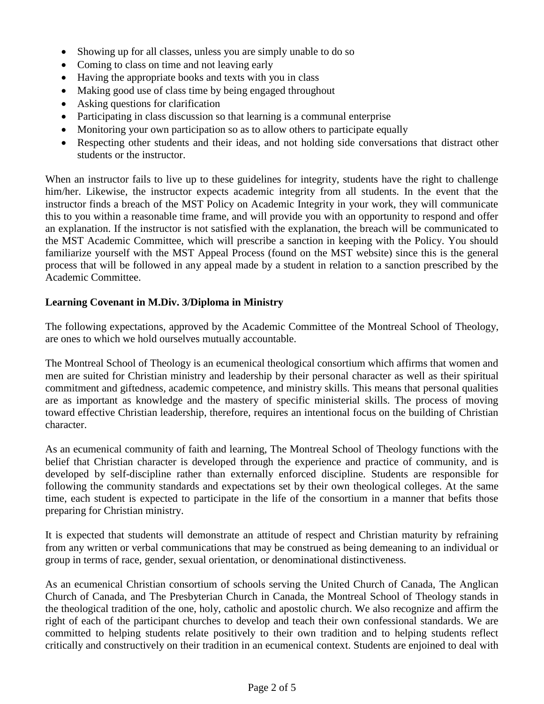- Showing up for all classes, unless you are simply unable to do so
- Coming to class on time and not leaving early
- Having the appropriate books and texts with you in class
- Making good use of class time by being engaged throughout
- Asking questions for clarification
- Participating in class discussion so that learning is a communal enterprise
- Monitoring your own participation so as to allow others to participate equally
- Respecting other students and their ideas, and not holding side conversations that distract other students or the instructor.

When an instructor fails to live up to these guidelines for integrity, students have the right to challenge him/her. Likewise, the instructor expects academic integrity from all students. In the event that the instructor finds a breach of the MST Policy on Academic Integrity in your work, they will communicate this to you within a reasonable time frame, and will provide you with an opportunity to respond and offer an explanation. If the instructor is not satisfied with the explanation, the breach will be communicated to the MST Academic Committee, which will prescribe a sanction in keeping with the Policy. You should familiarize yourself with the MST Appeal Process (found on the MST website) since this is the general process that will be followed in any appeal made by a student in relation to a sanction prescribed by the Academic Committee.

## **Learning Covenant in M.Div. 3/Diploma in Ministry**

The following expectations, approved by the Academic Committee of the Montreal School of Theology, are ones to which we hold ourselves mutually accountable.

The Montreal School of Theology is an ecumenical theological consortium which affirms that women and men are suited for Christian ministry and leadership by their personal character as well as their spiritual commitment and giftedness, academic competence, and ministry skills. This means that personal qualities are as important as knowledge and the mastery of specific ministerial skills. The process of moving toward effective Christian leadership, therefore, requires an intentional focus on the building of Christian character.

As an ecumenical community of faith and learning, The Montreal School of Theology functions with the belief that Christian character is developed through the experience and practice of community, and is developed by self-discipline rather than externally enforced discipline. Students are responsible for following the community standards and expectations set by their own theological colleges. At the same time, each student is expected to participate in the life of the consortium in a manner that befits those preparing for Christian ministry.

It is expected that students will demonstrate an attitude of respect and Christian maturity by refraining from any written or verbal communications that may be construed as being demeaning to an individual or group in terms of race, gender, sexual orientation, or denominational distinctiveness.

As an ecumenical Christian consortium of schools serving the United Church of Canada, The Anglican Church of Canada, and The Presbyterian Church in Canada, the Montreal School of Theology stands in the theological tradition of the one, holy, catholic and apostolic church. We also recognize and affirm the right of each of the participant churches to develop and teach their own confessional standards. We are committed to helping students relate positively to their own tradition and to helping students reflect critically and constructively on their tradition in an ecumenical context. Students are enjoined to deal with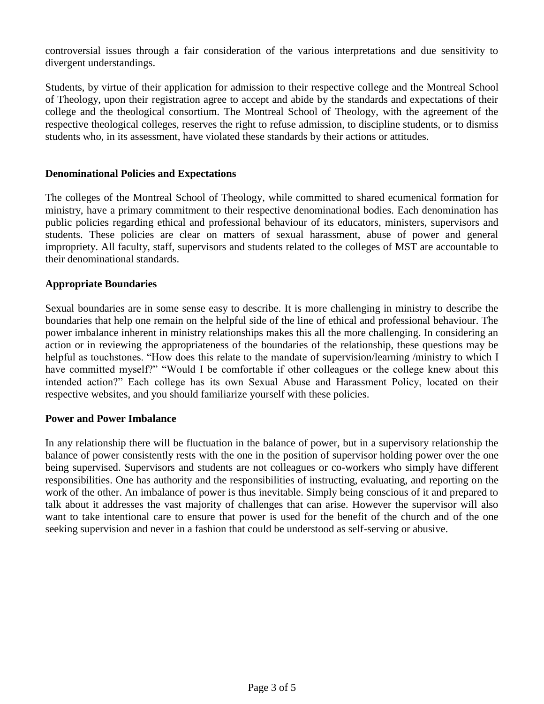controversial issues through a fair consideration of the various interpretations and due sensitivity to divergent understandings.

Students, by virtue of their application for admission to their respective college and the Montreal School of Theology, upon their registration agree to accept and abide by the standards and expectations of their college and the theological consortium. The Montreal School of Theology, with the agreement of the respective theological colleges, reserves the right to refuse admission, to discipline students, or to dismiss students who, in its assessment, have violated these standards by their actions or attitudes.

## **Denominational Policies and Expectations**

The colleges of the Montreal School of Theology, while committed to shared ecumenical formation for ministry, have a primary commitment to their respective denominational bodies. Each denomination has public policies regarding ethical and professional behaviour of its educators, ministers, supervisors and students. These policies are clear on matters of sexual harassment, abuse of power and general impropriety. All faculty, staff, supervisors and students related to the colleges of MST are accountable to their denominational standards.

## **Appropriate Boundaries**

Sexual boundaries are in some sense easy to describe. It is more challenging in ministry to describe the boundaries that help one remain on the helpful side of the line of ethical and professional behaviour. The power imbalance inherent in ministry relationships makes this all the more challenging. In considering an action or in reviewing the appropriateness of the boundaries of the relationship, these questions may be helpful as touchstones. "How does this relate to the mandate of supervision/learning /ministry to which I have committed myself?" "Would I be comfortable if other colleagues or the college knew about this intended action?" Each college has its own Sexual Abuse and Harassment Policy, located on their respective websites, and you should familiarize yourself with these policies.

#### **Power and Power Imbalance**

In any relationship there will be fluctuation in the balance of power, but in a supervisory relationship the balance of power consistently rests with the one in the position of supervisor holding power over the one being supervised. Supervisors and students are not colleagues or co-workers who simply have different responsibilities. One has authority and the responsibilities of instructing, evaluating, and reporting on the work of the other. An imbalance of power is thus inevitable. Simply being conscious of it and prepared to talk about it addresses the vast majority of challenges that can arise. However the supervisor will also want to take intentional care to ensure that power is used for the benefit of the church and of the one seeking supervision and never in a fashion that could be understood as self-serving or abusive.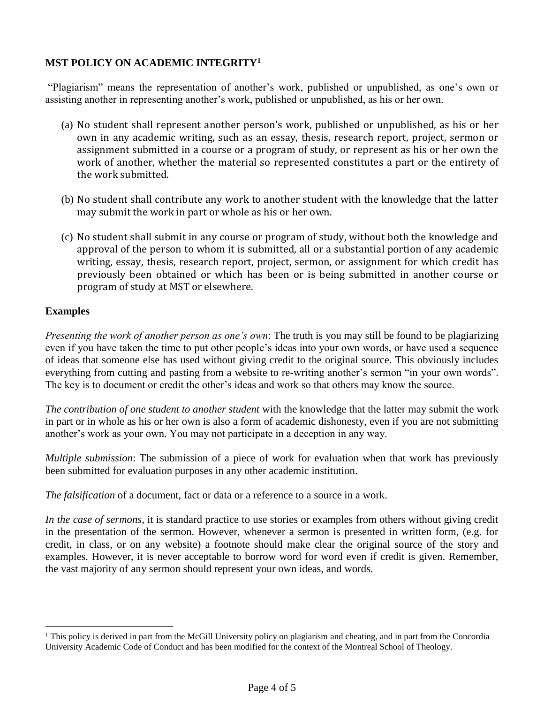# **MST POLICY ON ACADEMIC INTEGRITY<sup>1</sup>**

"Plagiarism" means the representation of another's work, published or unpublished, as one's own or assisting another in representing another's work, published or unpublished, as his or her own.

- (a) No student shall represent another person's work, published or unpublished, as his or her own in any academic writing, such as an essay, thesis, research report, project, sermon or assignment submitted in a course or a program of study, or represent as his or her own the work of another, whether the material so represented constitutes a part or the entirety of the work submitted.
- (b) No student shall contribute any work to another student with the knowledge that the latter may submit the work in part or whole as his or her own.
- (c) No student shall submit in any course or program of study, without both the knowledge and approval of the person to whom it is submitted, all or a substantial portion of any academic writing, essay, thesis, research report, project, sermon, or assignment for which credit has previously been obtained or which has been or is being submitted in another course or program of study at MST or elsewhere.

# **Examples**

 $\overline{a}$ 

*Presenting the work of another person as one's own*: The truth is you may still be found to be plagiarizing even if you have taken the time to put other people's ideas into your own words, or have used a sequence of ideas that someone else has used without giving credit to the original source. This obviously includes everything from cutting and pasting from a website to re-writing another's sermon "in your own words". The key is to document or credit the other's ideas and work so that others may know the source.

*The contribution of one student to another student* with the knowledge that the latter may submit the work in part or in whole as his or her own is also a form of academic dishonesty, even if you are not submitting another's work as your own. You may not participate in a deception in any way.

*Multiple submission*: The submission of a piece of work for evaluation when that work has previously been submitted for evaluation purposes in any other academic institution.

*The falsification* of a document, fact or data or a reference to a source in a work.

*In the case of sermons*, it is standard practice to use stories or examples from others without giving credit in the presentation of the sermon. However, whenever a sermon is presented in written form, (e.g. for credit, in class, or on any website) a footnote should make clear the original source of the story and examples. However, it is never acceptable to borrow word for word even if credit is given. Remember, the vast majority of any sermon should represent your own ideas, and words.

<sup>&</sup>lt;sup>1</sup> This policy is derived in part from the McGill University policy on plagiarism and cheating, and in part from the Concordia University Academic Code of Conduct and has been modified for the context of the Montreal School of Theology.